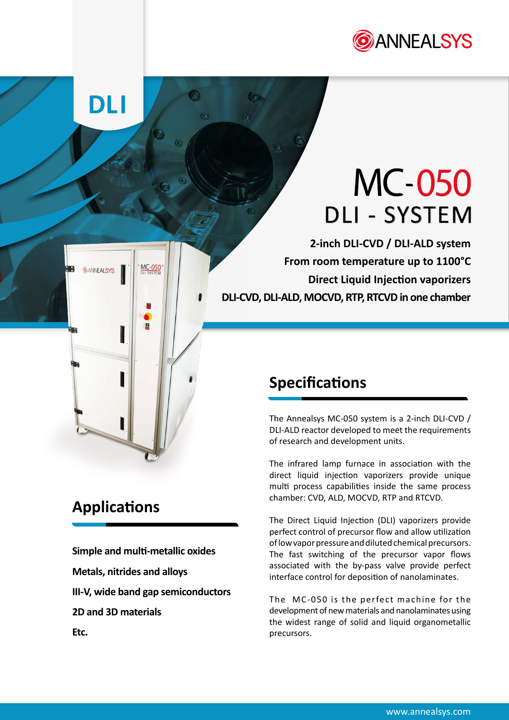

# **MC-050** DLI - SYSTEM

**2-inch DLI-CVD / DLI-ALD system From room temperature up to 1100°C Direct Liquid Injection vaporizers DLI-CVD, DLI-ALD, MOCVD, RTP, RTCVD in one chamber**

## **Specifications**

The Annealsys MC-050 system is a 2-inch DLI-CVD / DLI-ALD reactor developed to meet the requirements of research and development units.

The infrared lamp furnace in association with the direct liquid injection vaporizers provide unique multi process capabilities inside the same process chamber: CVD, ALD, MOCVD, RTP and RTCVD.

The Direct Liquid Injection (DLI) vaporizers provide perfect control of precursor flow and allow utilization of low vapor pressure and diluted chemical precursors. The fast switching of the precursor vapor flows associated with the by-pass valve provide perfect interface control for deposition of nanolaminates.

The MC-050 is the perfect machine for the development of new materials and nanolaminates using the widest range of solid and liquid organometallic precursors.

# **Applications**

**DLI**

**ANNEALSYS** 

**Simple and multi-metallic oxides Metals, nitrides and alloys III-V, wide band gap semiconductors 2D and 3D materials Etc.**

MC-050

g